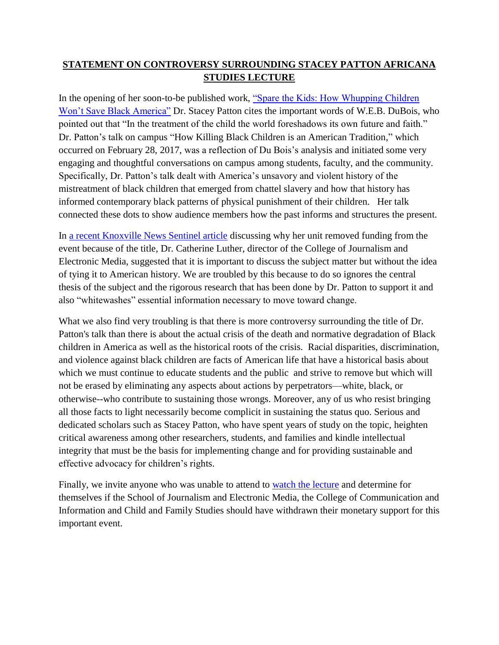## **STATEMENT ON CONTROVERSY SURROUNDING STACEY PATTON AFRICANA STUDIES LECTURE**

In the opening of her soon-to-be published work, ["Spare the Kids: How Whupping Children](http://www.beacon.org/Spare-the-Kids-P1257.aspx)  [Won't Save Black America"](http://www.beacon.org/Spare-the-Kids-P1257.aspx) Dr. Stacey Patton cites the important words of W.E.B. DuBois, who pointed out that "In the treatment of the child the world foreshadows its own future and faith." Dr. Patton's talk on campus "How Killing Black Children is an American Tradition," which occurred on February 28, 2017, was a reflection of Du Bois's analysis and initiated some very engaging and thoughtful conversations on campus among students, faculty, and the community. Specifically, Dr. Patton's talk dealt with America's unsavory and violent history of the mistreatment of black children that emerged from chattel slavery and how that history has informed contemporary black patterns of physical punishment of their children. Her talk connected these dots to show audience members how the past informs and structures the present.

In a recent Knoxville [News Sentinel article](http://www.knoxnews.com/story/news/education/2017/02/28/ut-departments-pull-support-lecture/98534122/) discussing why her unit removed funding from the event because of the title, Dr. Catherine Luther, director of the College of Journalism and Electronic Media, suggested that it is important to discuss the subject matter but without the idea of tying it to American history. We are troubled by this because to do so ignores the central thesis of the subject and the rigorous research that has been done by Dr. Patton to support it and also "whitewashes" essential information necessary to move toward change.

What we also find very troubling is that there is more controversy surrounding the title of Dr. Patton's talk than there is about the actual crisis of the death and normative degradation of Black children in America as well as the historical roots of the crisis. Racial disparities, discrimination, and violence against black children are facts of American life that have a historical basis about which we must continue to educate students and the public and strive to remove but which will not be erased by eliminating any aspects about actions by perpetrators—white, black, or otherwise--who contribute to sustaining those wrongs. Moreover, any of us who resist bringing all those facts to light necessarily become complicit in sustaining the status quo. Serious and dedicated scholars such as Stacey Patton, who have spent years of study on the topic, heighten critical awareness among other researchers, students, and families and kindle intellectual integrity that must be the basis for implementing change and for providing sustainable and effective advocacy for children's rights.

Finally, we invite anyone who was unable to attend to [watch the lecture](http://mediasite.utk.edu/UTK/Play/86cb53eef66343db865833dde4d876771d) and determine for themselves if the School of Journalism and Electronic Media, the College of Communication and Information and Child and Family Studies should have withdrawn their monetary support for this important event.